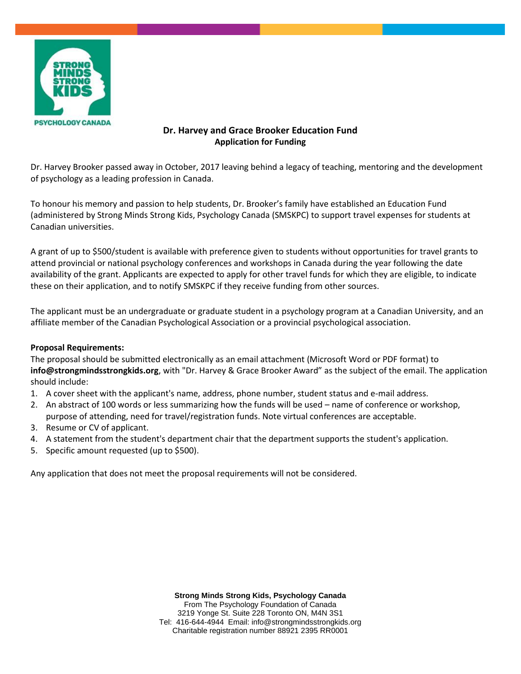

## **Dr. Harvey and Grace Brooker Education Fund Application for Funding**

Dr. Harvey Brooker passed away in October, 2017 leaving behind a legacy of teaching, mentoring and the development of psychology as a leading profession in Canada.

To honour his memory and passion to help students, Dr. Brooker's family have established an Education Fund (administered by Strong Minds Strong Kids, Psychology Canada (SMSKPC) to support travel expenses for students at Canadian universities.

A grant of up to \$500/student is available with preference given to students without opportunities for travel grants to attend provincial or national psychology conferences and workshops in Canada during the year following the date availability of the grant. Applicants are expected to apply for other travel funds for which they are eligible, to indicate these on their application, and to notify SMSKPC if they receive funding from other sources.

The applicant must be an undergraduate or graduate student in a psychology program at a Canadian University, and an affiliate member of the Canadian Psychological Association or a provincial psychological association.

## **Proposal Requirements:**

The proposal should be submitted electronically as an email attachment (Microsoft Word or PDF format) to **info@strongmindsstrongkids.org**, with "Dr. Harvey & Grace Brooker Award" as the subject of the email. The application should include:

- 1. A cover sheet with the applicant's name, address, phone number, student status and e-mail address.
- 2. An abstract of 100 words or less summarizing how the funds will be used name of conference or workshop, purpose of attending, need for travel/registration funds. Note virtual conferences are acceptable.
- 3. Resume or CV of applicant.
- 4. A statement from the student's department chair that the department supports the student's application.
- 5. Specific amount requested (up to \$500).

Any application that does not meet the proposal requirements will not be considered.

**Strong Minds Strong Kids, Psychology Canada** From The Psychology Foundation of Canada 3219 Yonge St. Suite 228 Toronto ON, M4N 3S1 Tel: 416-644-4944 Email: info@strongmindsstrongkids.org Charitable registration number 88921 2395 RR0001